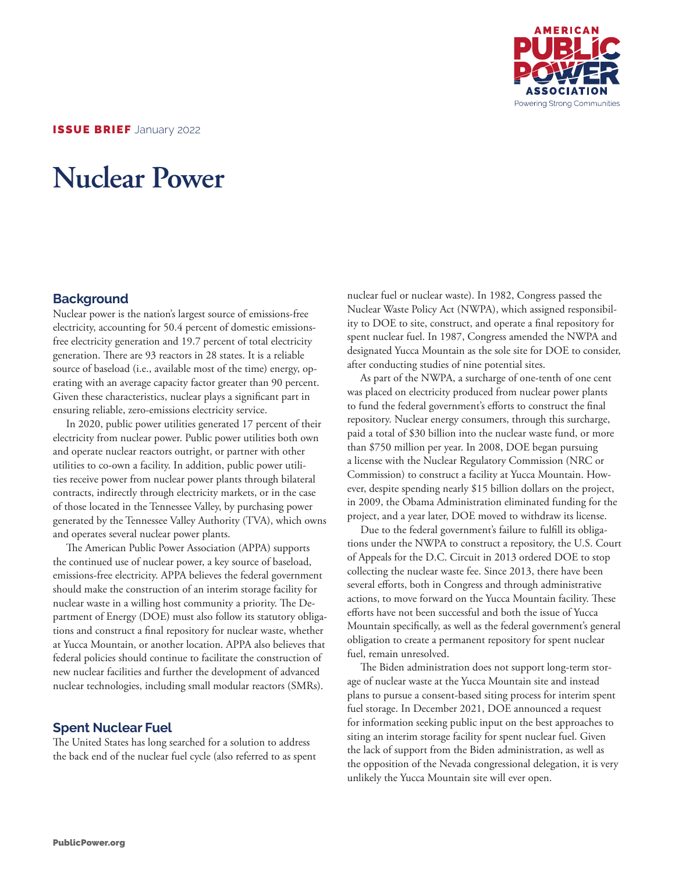

ISSUE BRIEF January 2022

# **Nuclear Power**

#### **Background**

Nuclear power is the nation's largest source of emissions-free electricity, accounting for 50.4 percent of domestic emissionsfree electricity generation and 19.7 percent of total electricity generation. There are 93 reactors in 28 states. It is a reliable source of baseload (i.e., available most of the time) energy, operating with an average capacity factor greater than 90 percent. Given these characteristics, nuclear plays a significant part in ensuring reliable, zero-emissions electricity service.

In 2020, public power utilities generated 17 percent of their electricity from nuclear power. Public power utilities both own and operate nuclear reactors outright, or partner with other utilities to co-own a facility. In addition, public power utilities receive power from nuclear power plants through bilateral contracts, indirectly through electricity markets, or in the case of those located in the Tennessee Valley, by purchasing power generated by the Tennessee Valley Authority (TVA), which owns and operates several nuclear power plants.

The American Public Power Association (APPA) supports the continued use of nuclear power, a key source of baseload, emissions-free electricity. APPA believes the federal government should make the construction of an interim storage facility for nuclear waste in a willing host community a priority. The Department of Energy (DOE) must also follow its statutory obligations and construct a final repository for nuclear waste, whether at Yucca Mountain, or another location. APPA also believes that federal policies should continue to facilitate the construction of new nuclear facilities and further the development of advanced nuclear technologies, including small modular reactors (SMRs).

#### **Spent Nuclear Fuel**

The United States has long searched for a solution to address the back end of the nuclear fuel cycle (also referred to as spent

nuclear fuel or nuclear waste). In 1982, Congress passed the Nuclear Waste Policy Act (NWPA), which assigned responsibility to DOE to site, construct, and operate a final repository for spent nuclear fuel. In 1987, Congress amended the NWPA and designated Yucca Mountain as the sole site for DOE to consider, after conducting studies of nine potential sites.

As part of the NWPA, a surcharge of one-tenth of one cent was placed on electricity produced from nuclear power plants to fund the federal government's efforts to construct the final repository. Nuclear energy consumers, through this surcharge, paid a total of \$30 billion into the nuclear waste fund, or more than \$750 million per year. In 2008, DOE began pursuing a license with the Nuclear Regulatory Commission (NRC or Commission) to construct a facility at Yucca Mountain. However, despite spending nearly \$15 billion dollars on the project, in 2009, the Obama Administration eliminated funding for the project, and a year later, DOE moved to withdraw its license.

Due to the federal government's failure to fulfill its obligations under the NWPA to construct a repository, the U.S. Court of Appeals for the D.C. Circuit in 2013 ordered DOE to stop collecting the nuclear waste fee. Since 2013, there have been several efforts, both in Congress and through administrative actions, to move forward on the Yucca Mountain facility. These efforts have not been successful and both the issue of Yucca Mountain specifically, as well as the federal government's general obligation to create a permanent repository for spent nuclear fuel, remain unresolved.

The Biden administration does not support long-term storage of nuclear waste at the Yucca Mountain site and instead plans to pursue a consent-based siting process for interim spent fuel storage. In December 2021, DOE announced a request for information seeking public input on the best approaches to siting an interim storage facility for spent nuclear fuel. Given the lack of support from the Biden administration, as well as the opposition of the Nevada congressional delegation, it is very unlikely the Yucca Mountain site will ever open.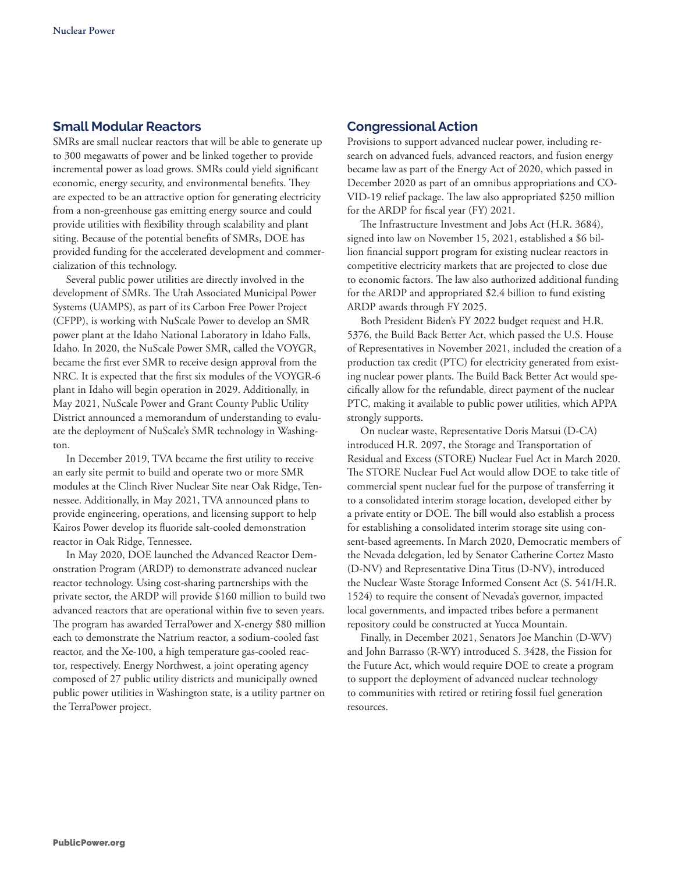# **Small Modular Reactors**

SMRs are small nuclear reactors that will be able to generate up to 300 megawatts of power and be linked together to provide incremental power as load grows. SMRs could yield significant economic, energy security, and environmental benefits. They are expected to be an attractive option for generating electricity from a non-greenhouse gas emitting energy source and could provide utilities with flexibility through scalability and plant siting. Because of the potential benefits of SMRs, DOE has provided funding for the accelerated development and commercialization of this technology.

Several public power utilities are directly involved in the development of SMRs. The Utah Associated Municipal Power Systems (UAMPS), as part of its Carbon Free Power Project (CFPP), is working with NuScale Power to develop an SMR power plant at the Idaho National Laboratory in Idaho Falls, Idaho. In 2020, the NuScale Power SMR, called the VOYGR, became the first ever SMR to receive design approval from the NRC. It is expected that the first six modules of the VOYGR-6 plant in Idaho will begin operation in 2029. Additionally, in May 2021, NuScale Power and Grant County Public Utility District announced a memorandum of understanding to evaluate the deployment of NuScale's SMR technology in Washington.

In December 2019, TVA became the first utility to receive an early site permit to build and operate two or more SMR modules at the Clinch River Nuclear Site near Oak Ridge, Tennessee. Additionally, in May 2021, TVA announced plans to provide engineering, operations, and licensing support to help Kairos Power develop its fluoride salt-cooled demonstration reactor in Oak Ridge, Tennessee.

In May 2020, DOE launched the Advanced Reactor Demonstration Program (ARDP) to demonstrate advanced nuclear reactor technology. Using cost-sharing partnerships with the private sector, the ARDP will provide \$160 million to build two advanced reactors that are operational within five to seven years. The program has awarded TerraPower and X-energy \$80 million each to demonstrate the Natrium reactor, a sodium-cooled fast reactor, and the Xe-100, a high temperature gas-cooled reactor, respectively. Energy Northwest, a joint operating agency composed of 27 public utility districts and municipally owned public power utilities in Washington state, is a utility partner on the TerraPower project.

### **Congressional Action**

Provisions to support advanced nuclear power, including research on advanced fuels, advanced reactors, and fusion energy became law as part of the Energy Act of 2020, which passed in December 2020 as part of an omnibus appropriations and CO-VID-19 relief package. The law also appropriated \$250 million for the ARDP for fiscal year (FY) 2021.

The Infrastructure Investment and Jobs Act (H.R. 3684), signed into law on November 15, 2021, established a \$6 billion financial support program for existing nuclear reactors in competitive electricity markets that are projected to close due to economic factors. The law also authorized additional funding for the ARDP and appropriated \$2.4 billion to fund existing ARDP awards through FY 2025.

Both President Biden's FY 2022 budget request and H.R. 5376, the Build Back Better Act, which passed the U.S. House of Representatives in November 2021, included the creation of a production tax credit (PTC) for electricity generated from existing nuclear power plants. The Build Back Better Act would specifically allow for the refundable, direct payment of the nuclear PTC, making it available to public power utilities, which APPA strongly supports.

On nuclear waste, Representative Doris Matsui (D-CA) introduced H.R. 2097, the Storage and Transportation of Residual and Excess (STORE) Nuclear Fuel Act in March 2020. The STORE Nuclear Fuel Act would allow DOE to take title of commercial spent nuclear fuel for the purpose of transferring it to a consolidated interim storage location, developed either by a private entity or DOE. The bill would also establish a process for establishing a consolidated interim storage site using consent-based agreements. In March 2020, Democratic members of the Nevada delegation, led by Senator Catherine Cortez Masto (D-NV) and Representative Dina Titus (D-NV), introduced the Nuclear Waste Storage Informed Consent Act (S. 541/H.R. 1524) to require the consent of Nevada's governor, impacted local governments, and impacted tribes before a permanent repository could be constructed at Yucca Mountain.

Finally, in December 2021, Senators Joe Manchin (D-WV) and John Barrasso (R-WY) introduced S. 3428, the Fission for the Future Act, which would require DOE to create a program to support the deployment of advanced nuclear technology to communities with retired or retiring fossil fuel generation resources.